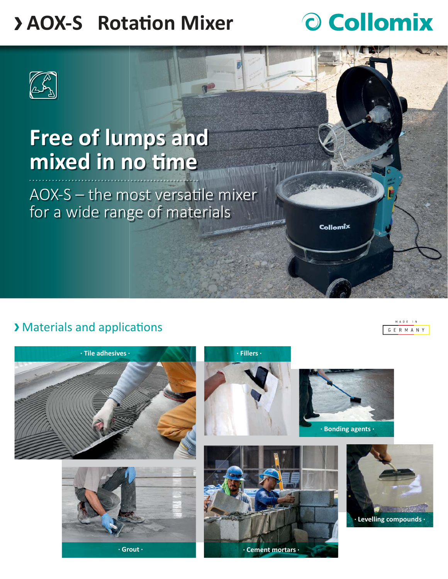### **> AOX-S** Rotation Mixer

# O Collomix

Collomix



## **Free of lumps and**  mixed in no time

 $AOX-S -$  the most versatile mixer for a wide range of materials

**N** 

#### Y Materials and applications